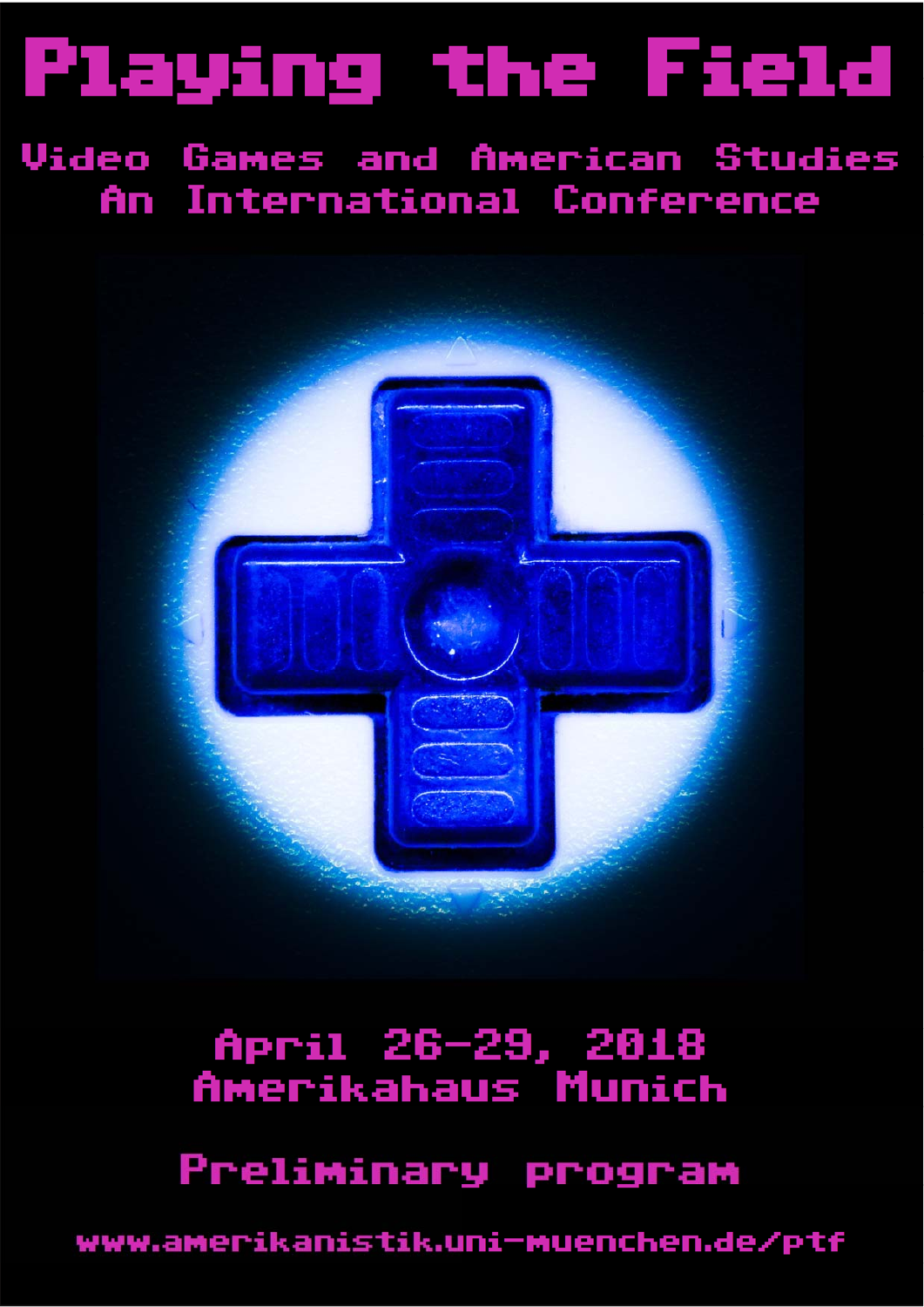# Playing the Field

**Video Games and American Studies** An International Conference



## April 26-29, 2018 Amerikahaus Munich

Preliminary program

www.amerikanistik.uni-muenchen.de/ptf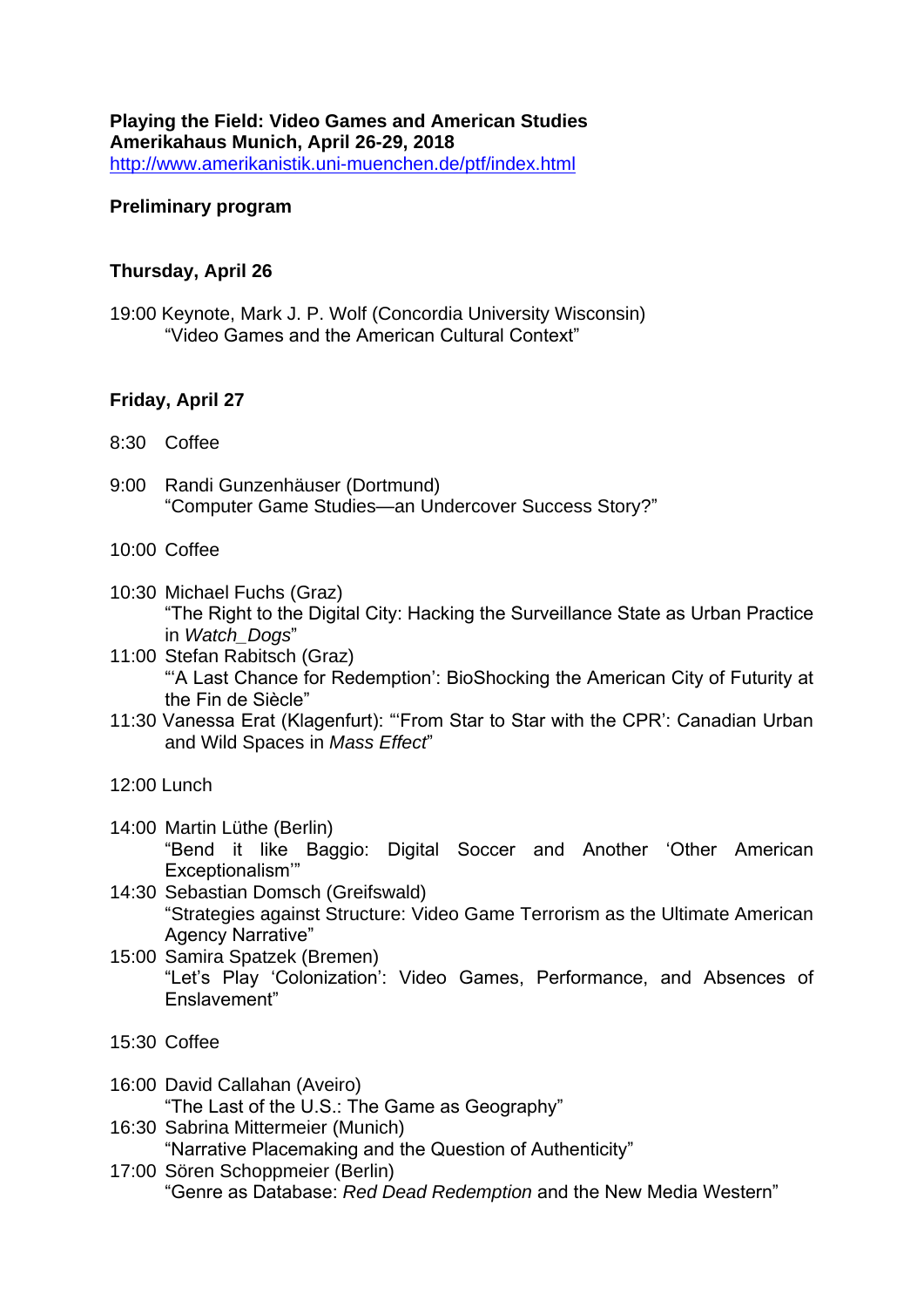**Playing the Field: Video Games and American Studies Amerikahaus Munich, April 26-29, 2018** <http://www.amerikanistik.uni-muenchen.de/ptf/index.html>

#### **Preliminary program**

#### **Thursday, April 26**

19:00 Keynote, Mark J. P. Wolf (Concordia University Wisconsin) "Video Games and the American Cultural Context"

#### **Friday, April 27**

- 8:30 Coffee
- 9:00 Randi Gunzenhäuser (Dortmund) "Computer Game Studies—an Undercover Success Story?"
- 10:00 Coffee
- 10:30 Michael Fuchs (Graz) "The Right to the Digital City: Hacking the Surveillance State as Urban Practice in *Watch\_Dogs*"
- 11:00 Stefan Rabitsch (Graz) "'A Last Chance for Redemption': BioShocking the American City of Futurity at the Fin de Siècle"
- 11:30 Vanessa Erat (Klagenfurt): "'From Star to Star with the CPR': Canadian Urban and Wild Spaces in *Mass Effect*"
- 12:00 Lunch
- 14:00 Martin Lüthe (Berlin) "Bend it like Baggio: Digital Soccer and Another 'Other American Exceptionalism'"
- 14:30 Sebastian Domsch (Greifswald) "Strategies against Structure: Video Game Terrorism as the Ultimate American Agency Narrative"
- 15:00 Samira Spatzek (Bremen) "Let's Play 'Colonization': Video Games, Performance, and Absences of Enslavement"
- 15:30 Coffee
- 16:00 David Callahan (Aveiro) "The Last of the U.S.: The Game as Geography" 16:30 Sabrina Mittermeier (Munich)
	- "Narrative Placemaking and the Question of Authenticity"
- 17:00 Sören Schoppmeier (Berlin) "Genre as Database: *Red Dead Redemption* and the New Media Western"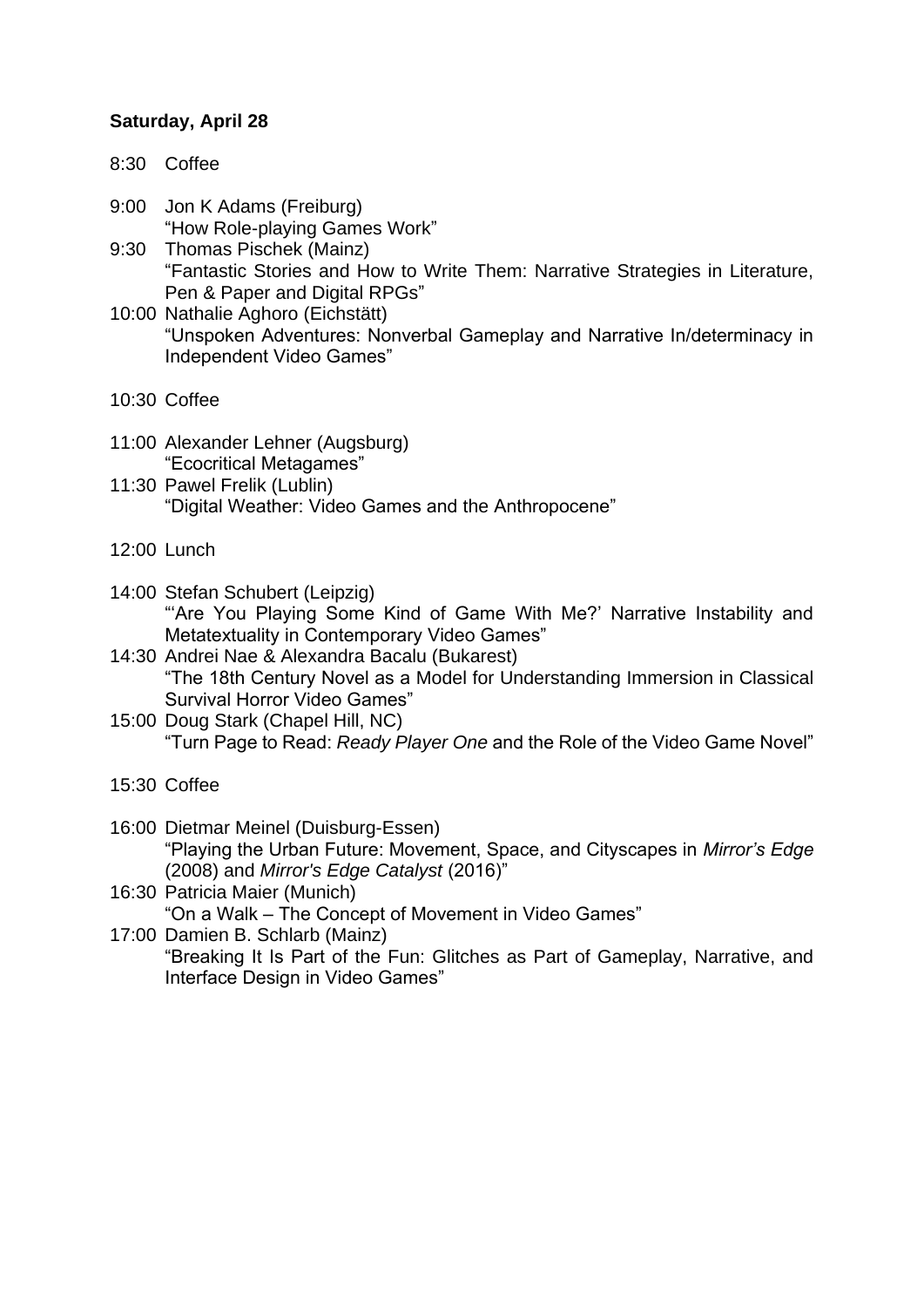#### **Saturday, April 28**

- 8:30 Coffee
- 9:00 Jon K Adams (Freiburg) "How Role-playing Games Work"
- 9:30 Thomas Pischek (Mainz) "Fantastic Stories and How to Write Them: Narrative Strategies in Literature, Pen & Paper and Digital RPGs"
- 10:00 Nathalie Aghoro (Eichstätt) "Unspoken Adventures: Nonverbal Gameplay and Narrative In/determinacy in Independent Video Games"
- 10:30 Coffee
- 11:00 Alexander Lehner (Augsburg) "Ecocritical Metagames"
- 11:30 Pawel Frelik (Lublin) "Digital Weather: Video Games and the Anthropocene"
- 12:00 Lunch
- 14:00 Stefan Schubert (Leipzig) "'Are You Playing Some Kind of Game With Me?' Narrative Instability and Metatextuality in Contemporary Video Games"
- 14:30 Andrei Nae & Alexandra Bacalu (Bukarest) "The 18th Century Novel as a Model for Understanding Immersion in Classical Survival Horror Video Games"
- 15:00 Doug Stark (Chapel Hill, NC) "Turn Page to Read: *Ready Player One* and the Role of the Video Game Novel"
- 15:30 Coffee
- 16:00 Dietmar Meinel (Duisburg-Essen) "Playing the Urban Future: Movement, Space, and Cityscapes in *Mirror's Edge* (2008) and *Mirror's Edge Catalyst* (2016)"
- 16:30 Patricia Maier (Munich) "On a Walk – The Concept of Movement in Video Games"
- 17:00 Damien B. Schlarb (Mainz) "Breaking It Is Part of the Fun: Glitches as Part of Gameplay, Narrative, and Interface Design in Video Games"